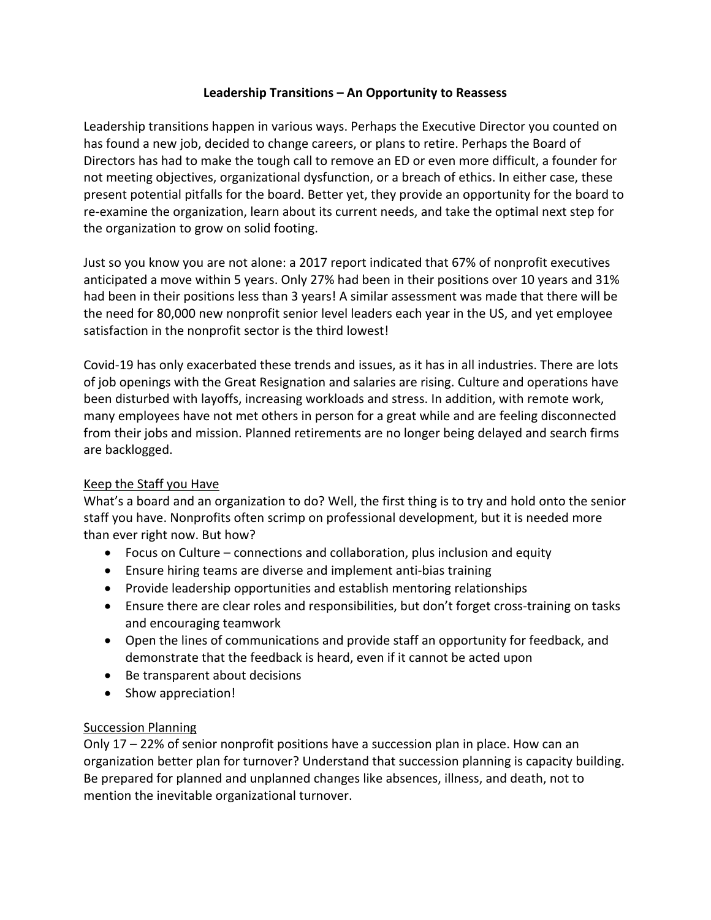# **Leadership Transitions – An Opportunity to Reassess**

Leadership transitions happen in various ways. Perhaps the Executive Director you counted on has found a new job, decided to change careers, or plans to retire. Perhaps the Board of Directors has had to make the tough call to remove an ED or even more difficult, a founder for not meeting objectives, organizational dysfunction, or a breach of ethics. In either case, these present potential pitfalls for the board. Better yet, they provide an opportunity for the board to re-examine the organization, learn about its current needs, and take the optimal next step for the organization to grow on solid footing.

Just so you know you are not alone: a 2017 report indicated that 67% of nonprofit executives anticipated a move within 5 years. Only 27% had been in their positions over 10 years and 31% had been in their positions less than 3 years! A similar assessment was made that there will be the need for 80,000 new nonprofit senior level leaders each year in the US, and yet employee satisfaction in the nonprofit sector is the third lowest!

Covid-19 has only exacerbated these trends and issues, as it has in all industries. There are lots of job openings with the Great Resignation and salaries are rising. Culture and operations have been disturbed with layoffs, increasing workloads and stress. In addition, with remote work, many employees have not met others in person for a great while and are feeling disconnected from their jobs and mission. Planned retirements are no longer being delayed and search firms are backlogged.

#### Keep the Staff you Have

What's a board and an organization to do? Well, the first thing is to try and hold onto the senior staff you have. Nonprofits often scrimp on professional development, but it is needed more than ever right now. But how?

- Focus on Culture connections and collaboration, plus inclusion and equity
- Ensure hiring teams are diverse and implement anti-bias training
- Provide leadership opportunities and establish mentoring relationships
- Ensure there are clear roles and responsibilities, but don't forget cross-training on tasks and encouraging teamwork
- Open the lines of communications and provide staff an opportunity for feedback, and demonstrate that the feedback is heard, even if it cannot be acted upon
- Be transparent about decisions
- Show appreciation!

#### Succession Planning

Only 17 – 22% of senior nonprofit positions have a succession plan in place. How can an organization better plan for turnover? Understand that succession planning is capacity building. Be prepared for planned and unplanned changes like absences, illness, and death, not to mention the inevitable organizational turnover.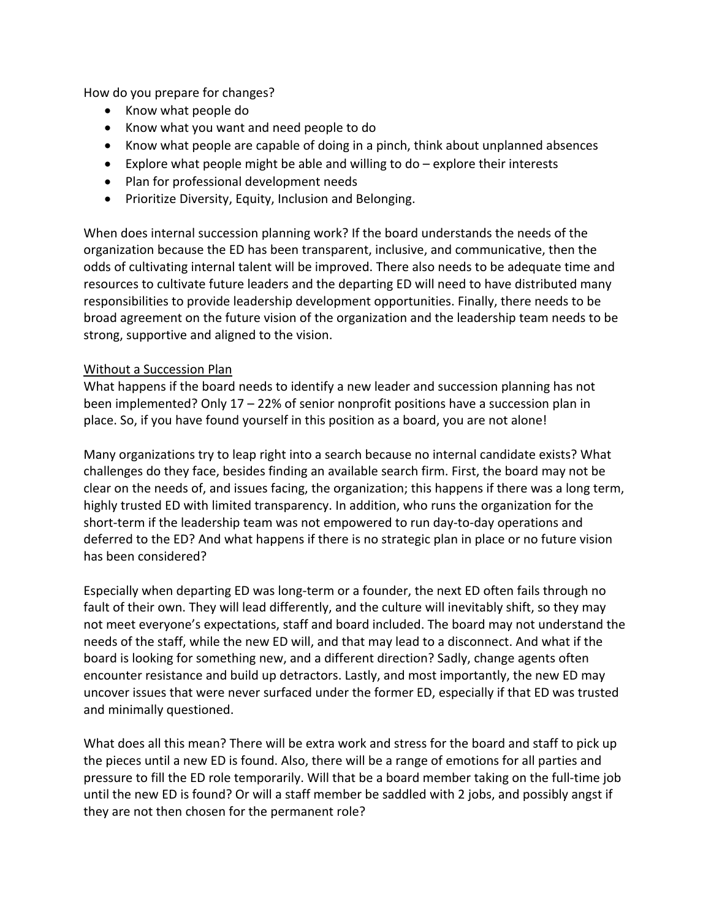How do you prepare for changes?

- Know what people do
- Know what you want and need people to do
- Know what people are capable of doing in a pinch, think about unplanned absences
- Explore what people might be able and willing to do explore their interests
- Plan for professional development needs
- Prioritize Diversity, Equity, Inclusion and Belonging.

When does internal succession planning work? If the board understands the needs of the organization because the ED has been transparent, inclusive, and communicative, then the odds of cultivating internal talent will be improved. There also needs to be adequate time and resources to cultivate future leaders and the departing ED will need to have distributed many responsibilities to provide leadership development opportunities. Finally, there needs to be broad agreement on the future vision of the organization and the leadership team needs to be strong, supportive and aligned to the vision.

#### Without a Succession Plan

What happens if the board needs to identify a new leader and succession planning has not been implemented? Only 17 – 22% of senior nonprofit positions have a succession plan in place. So, if you have found yourself in this position as a board, you are not alone!

Many organizations try to leap right into a search because no internal candidate exists? What challenges do they face, besides finding an available search firm. First, the board may not be clear on the needs of, and issues facing, the organization; this happens if there was a long term, highly trusted ED with limited transparency. In addition, who runs the organization for the short-term if the leadership team was not empowered to run day-to-day operations and deferred to the ED? And what happens if there is no strategic plan in place or no future vision has been considered?

Especially when departing ED was long-term or a founder, the next ED often fails through no fault of their own. They will lead differently, and the culture will inevitably shift, so they may not meet everyone's expectations, staff and board included. The board may not understand the needs of the staff, while the new ED will, and that may lead to a disconnect. And what if the board is looking for something new, and a different direction? Sadly, change agents often encounter resistance and build up detractors. Lastly, and most importantly, the new ED may uncover issues that were never surfaced under the former ED, especially if that ED was trusted and minimally questioned.

What does all this mean? There will be extra work and stress for the board and staff to pick up the pieces until a new ED is found. Also, there will be a range of emotions for all parties and pressure to fill the ED role temporarily. Will that be a board member taking on the full-time job until the new ED is found? Or will a staff member be saddled with 2 jobs, and possibly angst if they are not then chosen for the permanent role?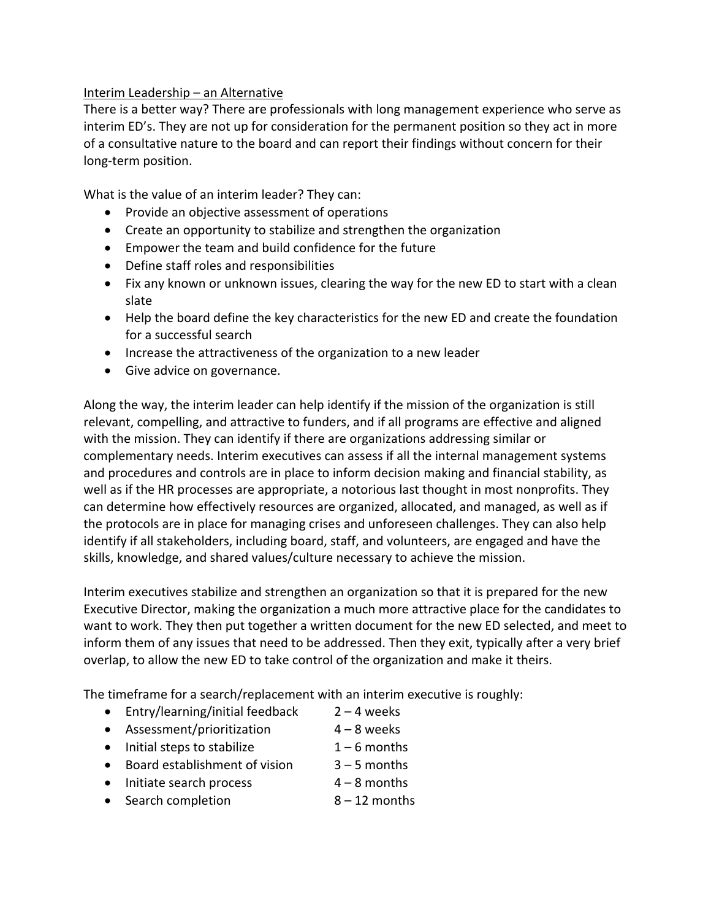### Interim Leadership – an Alternative

There is a better way? There are professionals with long management experience who serve as interim ED's. They are not up for consideration for the permanent position so they act in more of a consultative nature to the board and can report their findings without concern for their long-term position.

What is the value of an interim leader? They can:

- Provide an objective assessment of operations
- Create an opportunity to stabilize and strengthen the organization
- Empower the team and build confidence for the future
- Define staff roles and responsibilities
- Fix any known or unknown issues, clearing the way for the new ED to start with a clean slate
- Help the board define the key characteristics for the new ED and create the foundation for a successful search
- Increase the attractiveness of the organization to a new leader
- Give advice on governance.

Along the way, the interim leader can help identify if the mission of the organization is still relevant, compelling, and attractive to funders, and if all programs are effective and aligned with the mission. They can identify if there are organizations addressing similar or complementary needs. Interim executives can assess if all the internal management systems and procedures and controls are in place to inform decision making and financial stability, as well as if the HR processes are appropriate, a notorious last thought in most nonprofits. They can determine how effectively resources are organized, allocated, and managed, as well as if the protocols are in place for managing crises and unforeseen challenges. They can also help identify if all stakeholders, including board, staff, and volunteers, are engaged and have the skills, knowledge, and shared values/culture necessary to achieve the mission.

Interim executives stabilize and strengthen an organization so that it is prepared for the new Executive Director, making the organization a much more attractive place for the candidates to want to work. They then put together a written document for the new ED selected, and meet to inform them of any issues that need to be addressed. Then they exit, typically after a very brief overlap, to allow the new ED to take control of the organization and make it theirs.

The timeframe for a search/replacement with an interim executive is roughly:

- Entry/learning/initial feedback 2 4 weeks
- Assessment/prioritization  $4 8$  weeks
- Initial steps to stabilize  $1 6$  months
- Board establishment of vision 3-5 months
	-
- Initiate search process  $4-8$  months
- Search completion 8 12 months